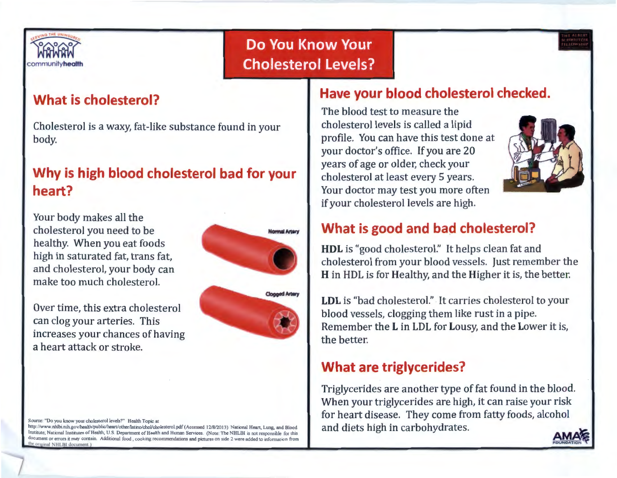

# **Do You Know Your Cholesterol Levels?**



#### **What is cholesterol?**

Cholesterol is a waxy, fat-like substance found in your body.

### **Why is high blood cholesterol bad for your heart?**

Your body makes all the cholesterol you need to be healthy. When you eat foods high in saturated fat, trans fat, and cholesterol, your body can make too much cholesterol.

Over time, this extra cholesterol can clog your arteries. This increases your chances of having a heart attack or stroke.



Source: "Do you know your cholesterol levels?" Health Topic at http://www.nhlbi.nih.gov/health/public/heart/other/latino/chol/cholesterol.pdf (Accessed 12/8/2013). National Heart, Lung, and Blood Institute; National institutes of Health; U.S. Department of Health and Human Services. (Note: The NHLBI is not responsible for this

te original NHLBI document.)

document or errors it may contain. Additional food . cooking recommendations and pictures on side 2 were added to infonnation from

### **Have your blood cholesterol checked.**

The blood test to measure the cholesterol levels is called a lipid profile. You can have this test done at your doctor's office. If you are 20 years of age or older, check your cholesterol at least every 5 years. Your doctor may test you more often if your cholesterol levels are high.



### **What is good and bad cholesterol?**

**HDL** is "good cholesterol." It helps clean fat and cholesterol from your blood vessels. Just remember the **H** in HDL is for Healthy, and the Higher it is, the better.

**LDL** is "bad cholesterol." It carries cholesterol to your blood vessels, clogging them like rust in a pipe. Remember the Lin LDL for Lousy, and the Lower it is, the better.

### **What are triglycerides?**

Triglycerides are another type of fat found in the blood. When your triglycerides are high, it can raise your risk for heart disease. They come from fatty foods, alcohol and diets high in carbohydrates.